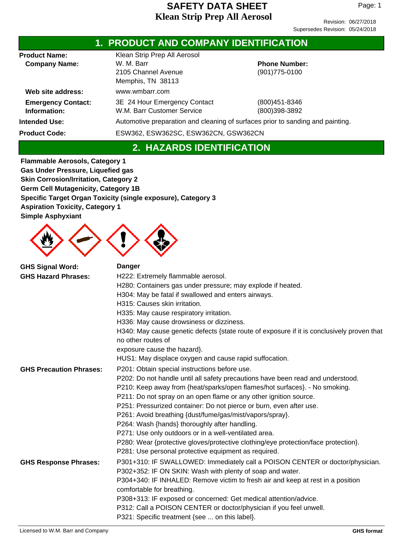Page: 1

| <b>1. PRODUCT AND COMPANY IDENTIFICATION</b> |                                                            |                                                                                |  |  |
|----------------------------------------------|------------------------------------------------------------|--------------------------------------------------------------------------------|--|--|
| <b>Product Name:</b>                         | Klean Strip Prep All Aerosol                               |                                                                                |  |  |
| <b>Company Name:</b>                         | W. M. Barr<br>2105 Channel Avenue<br>Memphis, TN 38113     | <b>Phone Number:</b><br>$(901)775 - 0100$                                      |  |  |
| Web site address:                            | www.wmbarr.com                                             |                                                                                |  |  |
| <b>Emergency Contact:</b><br>Information:    | 3E 24 Hour Emergency Contact<br>W.M. Barr Customer Service | (800) 451-8346<br>(800)398-3892                                                |  |  |
| <b>Intended Use:</b>                         |                                                            | Automotive preparation and cleaning of surfaces prior to sanding and painting. |  |  |
| <b>Product Code:</b>                         |                                                            | ESW362, ESW362SC, ESW362CN, GSW362CN                                           |  |  |

# **2. HAZARDS IDENTIFICATION**

**Flammable Aerosols, Category 1 Gas Under Pressure, Liquefied gas Skin Corrosion/Irritation, Category 2 Germ Cell Mutagenicity, Category 1B Specific Target Organ Toxicity (single exposure), Category 3 Aspiration Toxicity, Category 1 Simple Asphyxiant**



| <b>GHS Signal Word:</b><br><b>GHS Hazard Phrases:</b> | <b>Danger</b><br>H222: Extremely flammable aerosol.<br>H280: Containers gas under pressure; may explode if heated.<br>H304: May be fatal if swallowed and enters airways.<br>H315: Causes skin irritation.<br>H335: May cause respiratory irritation.<br>H336: May cause drowsiness or dizziness.<br>H340: May cause genetic defects {state route of exposure if it is conclusively proven that<br>no other routes of<br>exposure cause the hazard}.<br>HUS1: May displace oxygen and cause rapid suffocation.                                                                                                                                                                 |
|-------------------------------------------------------|--------------------------------------------------------------------------------------------------------------------------------------------------------------------------------------------------------------------------------------------------------------------------------------------------------------------------------------------------------------------------------------------------------------------------------------------------------------------------------------------------------------------------------------------------------------------------------------------------------------------------------------------------------------------------------|
| <b>GHS Precaution Phrases:</b>                        | P201: Obtain special instructions before use.<br>P202: Do not handle until all safety precautions have been read and understood.<br>P210: Keep away from {heat/sparks/open flames/hot surfaces}. - No smoking.<br>P211: Do not spray on an open flame or any other ignition source.<br>P251: Pressurized container: Do not pierce or burn, even after use.<br>P261: Avoid breathing {dust/fume/gas/mist/vapors/spray}.<br>P264: Wash {hands} thoroughly after handling.<br>P271: Use only outdoors or in a well-ventilated area.<br>P280: Wear {protective gloves/protective clothing/eye protection/face protection}.<br>P281: Use personal protective equipment as required. |
| <b>GHS Response Phrases:</b>                          | P301+310: IF SWALLOWED: Immediately call a POISON CENTER or doctor/physician.<br>P302+352: IF ON SKIN: Wash with plenty of soap and water.<br>P304+340: IF INHALED: Remove victim to fresh air and keep at rest in a position<br>comfortable for breathing.<br>P308+313: IF exposed or concerned: Get medical attention/advice.<br>P312: Call a POISON CENTER or doctor/physician if you feel unwell.<br>P321: Specific treatment {see  on this label}.                                                                                                                                                                                                                        |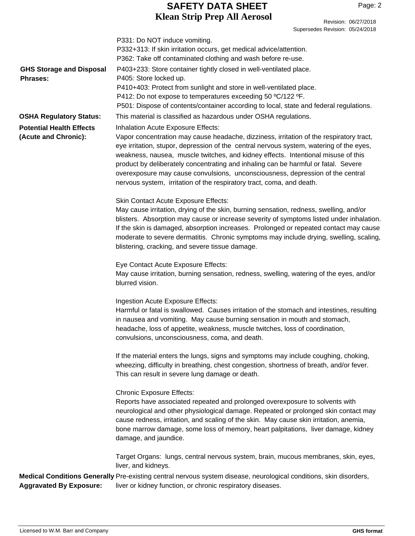### **Klean Strip Prep All Aerosol SAFETY DATA SHEET**

Revision: 06/27/2018

Supersedes Revision: 05/24/2018 P331: Do NOT induce vomiting. P332+313: If skin irritation occurs, get medical advice/attention. P362: Take off contaminated clothing and wash before re-use. P403+233: Store container tightly closed in well-ventilated place. P405: Store locked up. P410+403: Protect from sunlight and store in well-ventilated place. P412: Do not expose to temperatures exceeding 50 ºC/122 ºF. P501: Dispose of contents/container according to local, state and federal regulations. **GHS Storage and Disposal Phrases: OSHA Regulatory Status:** This material is classified as hazardous under OSHA regulations. Medical Conditions Generally Pre-existing central nervous system disease, neurological conditions, skin disorders, liver or kidney function, or chronic respiratory diseases. **Aggravated By Exposure:** Inhalation Acute Exposure Effects: Vapor concentration may cause headache, dizziness, irritation of the respiratory tract, eye irritation, stupor, depression of the central nervous system, watering of the eyes, weakness, nausea, muscle twitches, and kidney effects. Intentional misuse of this product by deliberately concentrating and inhaling can be harmful or fatal. Severe overexposure may cause convulsions, unconsciousness, depression of the central nervous system, irritation of the respiratory tract, coma, and death. Skin Contact Acute Exposure Effects: May cause irritation, drying of the skin, burning sensation, redness, swelling, and/or blisters. Absorption may cause or increase severity of symptoms listed under inhalation. If the skin is damaged, absorption increases. Prolonged or repeated contact may cause moderate to severe dermatitis. Chronic symptoms may include drying, swelling, scaling, blistering, cracking, and severe tissue damage. Eye Contact Acute Exposure Effects: May cause irritation, burning sensation, redness, swelling, watering of the eyes, and/or blurred vision. Ingestion Acute Exposure Effects: Harmful or fatal is swallowed. Causes irritation of the stomach and intestines, resulting in nausea and vomiting. May cause burning sensation in mouth and stomach, headache, loss of appetite, weakness, muscle twitches, loss of coordination, convulsions, unconsciousness, coma, and death. If the material enters the lungs, signs and symptoms may include coughing, choking, wheezing, difficulty in breathing, chest congestion, shortness of breath, and/or fever. This can result in severe lung damage or death. Chronic Exposure Effects: Reports have associated repeated and prolonged overexposure to solvents with neurological and other physiological damage. Repeated or prolonged skin contact may cause redness, irritation, and scaling of the skin. May cause skin irritation, anemia, bone marrow damage, some loss of memory, heart palpitations, liver damage, kidney damage, and jaundice. Target Organs: lungs, central nervous system, brain, mucous membranes, skin, eyes, liver, and kidneys. **Potential Health Effects (Acute and Chronic):**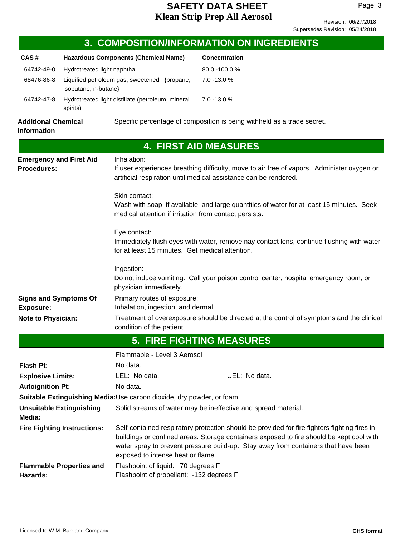## **Klean Strip Prep All Aerosol SAFETY DATA SHEET**

Page: 3

|                                                      |                                    |                                                                                                                                                                      | 3. COMPOSITION/INFORMATION ON INGREDIENTS                                                                                                                                                                                                                                      |  |
|------------------------------------------------------|------------------------------------|----------------------------------------------------------------------------------------------------------------------------------------------------------------------|--------------------------------------------------------------------------------------------------------------------------------------------------------------------------------------------------------------------------------------------------------------------------------|--|
| CAS#                                                 |                                    | <b>Hazardous Components (Chemical Name)</b>                                                                                                                          | Concentration                                                                                                                                                                                                                                                                  |  |
| 64742-49-0                                           | Hydrotreated light naphtha         |                                                                                                                                                                      | 80.0 -100.0 %                                                                                                                                                                                                                                                                  |  |
| 68476-86-8                                           | isobutane, n-butane}               | Liquified petroleum gas, sweetened {propane,                                                                                                                         | 7.0 -13.0 %                                                                                                                                                                                                                                                                    |  |
| 64742-47-8                                           | spirits)                           | Hydrotreated light distillate (petroleum, mineral                                                                                                                    | 7.0 -13.0 %                                                                                                                                                                                                                                                                    |  |
| <b>Additional Chemical</b><br><b>Information</b>     |                                    |                                                                                                                                                                      | Specific percentage of composition is being withheld as a trade secret.                                                                                                                                                                                                        |  |
|                                                      |                                    |                                                                                                                                                                      | <b>4. FIRST AID MEASURES</b>                                                                                                                                                                                                                                                   |  |
| <b>Emergency and First Aid</b><br><b>Procedures:</b> |                                    | Inhalation:                                                                                                                                                          | If user experiences breathing difficulty, move to air free of vapors. Administer oxygen or<br>artificial respiration until medical assistance can be rendered.                                                                                                                 |  |
|                                                      |                                    | Skin contact:<br>Wash with soap, if available, and large quantities of water for at least 15 minutes. Seek<br>medical attention if irritation from contact persists. |                                                                                                                                                                                                                                                                                |  |
|                                                      |                                    | Eye contact:<br>for at least 15 minutes. Get medical attention.                                                                                                      | Immediately flush eyes with water, remove nay contact lens, continue flushing with water                                                                                                                                                                                       |  |
|                                                      |                                    | Ingestion:<br>physician immediately.                                                                                                                                 | Do not induce vomiting. Call your poison control center, hospital emergency room, or                                                                                                                                                                                           |  |
| <b>Signs and Symptoms Of</b>                         |                                    | Primary routes of exposure:                                                                                                                                          |                                                                                                                                                                                                                                                                                |  |
| <b>Exposure:</b>                                     |                                    | Inhalation, ingestion, and dermal.                                                                                                                                   |                                                                                                                                                                                                                                                                                |  |
| <b>Note to Physician:</b>                            |                                    | condition of the patient.                                                                                                                                            | Treatment of overexposure should be directed at the control of symptoms and the clinical                                                                                                                                                                                       |  |
|                                                      |                                    |                                                                                                                                                                      | <b>5. FIRE FIGHTING MEASURES</b>                                                                                                                                                                                                                                               |  |
|                                                      |                                    | Flammable - Level 3 Aerosol                                                                                                                                          |                                                                                                                                                                                                                                                                                |  |
| Flash Pt:                                            |                                    | No data.                                                                                                                                                             |                                                                                                                                                                                                                                                                                |  |
| <b>Explosive Limits:</b>                             |                                    | LEL: No data.                                                                                                                                                        | UEL: No data.                                                                                                                                                                                                                                                                  |  |
| <b>Autoignition Pt:</b>                              |                                    | No data.                                                                                                                                                             |                                                                                                                                                                                                                                                                                |  |
|                                                      |                                    | Suitable Extinguishing Media: Use carbon dioxide, dry powder, or foam.                                                                                               |                                                                                                                                                                                                                                                                                |  |
| Media:                                               | <b>Unsuitable Extinguishing</b>    |                                                                                                                                                                      | Solid streams of water may be ineffective and spread material.                                                                                                                                                                                                                 |  |
|                                                      | <b>Fire Fighting Instructions:</b> | exposed to intense heat or flame.                                                                                                                                    | Self-contained respiratory protection should be provided for fire fighters fighting fires in<br>buildings or confined areas. Storage containers exposed to fire should be kept cool with<br>water spray to prevent pressure build-up. Stay away from containers that have been |  |
| Hazards:                                             | <b>Flammable Properties and</b>    | Flashpoint of liquid: 70 degrees F<br>Flashpoint of propellant: - 132 degrees F                                                                                      |                                                                                                                                                                                                                                                                                |  |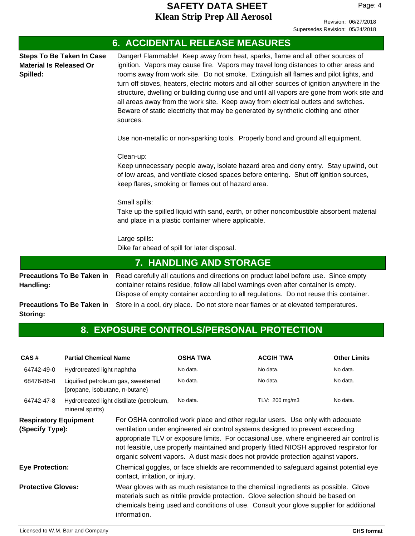Page: 4

|                                                                                | <b>6. ACCIDENTAL RELEASE MEASURES</b>                                                                                                                                                                                                                                                                                                                                                                                                                                                                                                                                                                                                                |
|--------------------------------------------------------------------------------|------------------------------------------------------------------------------------------------------------------------------------------------------------------------------------------------------------------------------------------------------------------------------------------------------------------------------------------------------------------------------------------------------------------------------------------------------------------------------------------------------------------------------------------------------------------------------------------------------------------------------------------------------|
| <b>Steps To Be Taken In Case</b><br><b>Material Is Released Or</b><br>Spilled: | Danger! Flammable! Keep away from heat, sparks, flame and all other sources of<br>ignition. Vapors may cause fire. Vapors may travel long distances to other areas and<br>rooms away from work site. Do not smoke. Extinguish all flames and pilot lights, and<br>turn off stoves, heaters, electric motors and all other sources of ignition anywhere in the<br>structure, dwelling or building during use and until all vapors are gone from work site and<br>all areas away from the work site. Keep away from electrical outlets and switches.<br>Beware of static electricity that may be generated by synthetic clothing and other<br>sources. |
|                                                                                | Use non-metallic or non-sparking tools. Properly bond and ground all equipment.                                                                                                                                                                                                                                                                                                                                                                                                                                                                                                                                                                      |
|                                                                                | Clean-up:<br>Keep unnecessary people away, isolate hazard area and deny entry. Stay upwind, out<br>of low areas, and ventilate closed spaces before entering. Shut off ignition sources,<br>keep flares, smoking or flames out of hazard area.                                                                                                                                                                                                                                                                                                                                                                                                       |
|                                                                                | Small spills:<br>Take up the spilled liquid with sand, earth, or other noncombustible absorbent material<br>and place in a plastic container where applicable.                                                                                                                                                                                                                                                                                                                                                                                                                                                                                       |
|                                                                                | Large spills:<br>Dike far ahead of spill for later disposal.                                                                                                                                                                                                                                                                                                                                                                                                                                                                                                                                                                                         |
|                                                                                | <b>7. HANDLING AND STORAGE</b>                                                                                                                                                                                                                                                                                                                                                                                                                                                                                                                                                                                                                       |
| <b>Precautions To Be Taken in</b><br>Handling:                                 | Read carefully all cautions and directions on product label before use. Since empty<br>container retains residue, follow all label warnings even after container is empty.<br>Dispose of empty container according to all regulations. Do not reuse this container.                                                                                                                                                                                                                                                                                                                                                                                  |
| <b>Precautions To Be Taken in</b><br>Storing:                                  | Store in a cool, dry place. Do not store near flames or at elevated temperatures.                                                                                                                                                                                                                                                                                                                                                                                                                                                                                                                                                                    |

# **8. EXPOSURE CONTROLS/PERSONAL PROTECTION**

| CAS#                                            | <b>Partial Chemical Name</b>                                         |                                           | <b>OSHA TWA</b>                                                                                                                                                                                                                                                                                                                                                                                                                           | <b>ACGIH TWA</b> | <b>Other Limits</b> |
|-------------------------------------------------|----------------------------------------------------------------------|-------------------------------------------|-------------------------------------------------------------------------------------------------------------------------------------------------------------------------------------------------------------------------------------------------------------------------------------------------------------------------------------------------------------------------------------------------------------------------------------------|------------------|---------------------|
| 64742-49-0                                      | Hydrotreated light naphtha                                           |                                           | No data.                                                                                                                                                                                                                                                                                                                                                                                                                                  | No data.         | No data.            |
| 68476-86-8                                      | Liquified petroleum gas, sweetened<br>{propane, isobutane, n-butane} |                                           | No data.                                                                                                                                                                                                                                                                                                                                                                                                                                  | No data.         | No data.            |
| 64742-47-8                                      | mineral spirits)                                                     | Hydrotreated light distillate (petroleum, | No data.                                                                                                                                                                                                                                                                                                                                                                                                                                  | TLV: 200 mg/m3   | No data.            |
| <b>Respiratory Equipment</b><br>(Specify Type): |                                                                      |                                           | For OSHA controlled work place and other regular users. Use only with adequate<br>ventilation under engineered air control systems designed to prevent exceeding<br>appropriate TLV or exposure limits. For occasional use, where engineered air control is<br>not feasible, use properly maintained and properly fitted NIOSH approved respirator for<br>organic solvent vapors. A dust mask does not provide protection against vapors. |                  |                     |
| <b>Eye Protection:</b>                          |                                                                      | contact, irritation, or injury.           | Chemical goggles, or face shields are recommended to safeguard against potential eye                                                                                                                                                                                                                                                                                                                                                      |                  |                     |
| <b>Protective Gloves:</b>                       |                                                                      | information.                              | Wear gloves with as much resistance to the chemical ingredients as possible. Glove<br>materials such as nitrile provide protection. Glove selection should be based on<br>chemicals being used and conditions of use. Consult your glove supplier for additional                                                                                                                                                                          |                  |                     |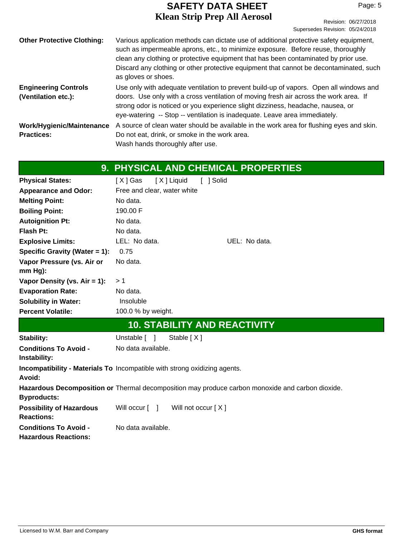| ---------                                        |                                 | Revision: 06/27/2018 |
|--------------------------------------------------|---------------------------------|----------------------|
|                                                  | Supersedes Revision: 05/24/2018 |                      |
| e use of additional protective safety equipment, |                                 |                      |

| <b>Other Protective Clothing:</b>                  | Various application methods can dictate use of additional protective safety equipment,<br>such as impermeable aprons, etc., to minimize exposure. Before reuse, thoroughly<br>clean any clothing or protective equipment that has been contaminated by prior use.<br>Discard any clothing or other protective equipment that cannot be decontaminated, such<br>as gloves or shoes. |
|----------------------------------------------------|------------------------------------------------------------------------------------------------------------------------------------------------------------------------------------------------------------------------------------------------------------------------------------------------------------------------------------------------------------------------------------|
| <b>Engineering Controls</b><br>(Ventilation etc.): | Use only with adequate ventilation to prevent build-up of vapors. Open all windows and<br>doors. Use only with a cross ventilation of moving fresh air across the work area. If<br>strong odor is noticed or you experience slight dizziness, headache, nausea, or<br>eye-watering -- Stop -- ventilation is inadequate. Leave area immediately.                                   |
| Work/Hygienic/Maintenance<br><b>Practices:</b>     | A source of clean water should be available in the work area for flushing eyes and skin.<br>Do not eat, drink, or smoke in the work area.<br>Wash hands thoroughly after use.                                                                                                                                                                                                      |

|                                                             | 9. PHYSICAL AND CHEMICAL PROPERTIES                                                              |
|-------------------------------------------------------------|--------------------------------------------------------------------------------------------------|
| <b>Physical States:</b>                                     | [X] Gas<br>[X] Liquid<br>[ ] Solid                                                               |
| <b>Appearance and Odor:</b>                                 | Free and clear, water white                                                                      |
| <b>Melting Point:</b>                                       | No data.                                                                                         |
| <b>Boiling Point:</b>                                       | 190.00 F                                                                                         |
| <b>Autoignition Pt:</b>                                     | No data.                                                                                         |
| <b>Flash Pt:</b>                                            | No data.                                                                                         |
| <b>Explosive Limits:</b>                                    | LEL: No data.<br>UEL: No data.                                                                   |
| Specific Gravity (Water = 1):                               | 0.75                                                                                             |
| Vapor Pressure (vs. Air or                                  | No data.                                                                                         |
| mm Hg):                                                     |                                                                                                  |
| Vapor Density (vs. $Air = 1$ ):                             | >1                                                                                               |
| <b>Evaporation Rate:</b>                                    | No data.                                                                                         |
| <b>Solubility in Water:</b>                                 | Insoluble                                                                                        |
| <b>Percent Volatile:</b>                                    | 100.0 % by weight.                                                                               |
|                                                             | <b>10. STABILITY AND REACTIVITY</b>                                                              |
| <b>Stability:</b>                                           | Unstable $\lceil \quad \rceil$<br>Stable [X]                                                     |
| <b>Conditions To Avoid -</b><br>Instability:                | No data available.                                                                               |
| Avoid:                                                      | Incompatibility - Materials To Incompatible with strong oxidizing agents.                        |
| <b>Byproducts:</b>                                          | Hazardous Decomposition or Thermal decomposition may produce carbon monoxide and carbon dioxide. |
| <b>Possibility of Hazardous</b><br><b>Reactions:</b>        | Will occur [ ]<br>Will not occur $[ X ]$                                                         |
| <b>Conditions To Avoid -</b><br><b>Hazardous Reactions:</b> | No data available.                                                                               |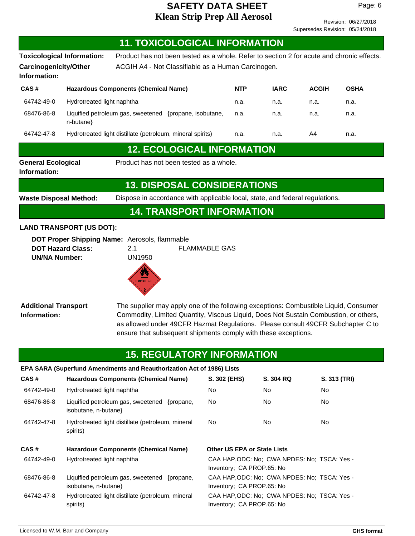Revision: 06/27/2018 Supersedes Revision: 05/24/2018

|                                              | <b>11. TOXICOLOGICAL INFORMATION</b>                                                                                                                                                                                                                                                                                                                                   |                                    |                                                                                              |              |              |
|----------------------------------------------|------------------------------------------------------------------------------------------------------------------------------------------------------------------------------------------------------------------------------------------------------------------------------------------------------------------------------------------------------------------------|------------------------------------|----------------------------------------------------------------------------------------------|--------------|--------------|
|                                              | Product has not been tested as a whole. Refer to section 2 for acute and chronic effects.<br><b>Toxicological Information:</b>                                                                                                                                                                                                                                         |                                    |                                                                                              |              |              |
| <b>Carcinogenicity/Other</b><br>Information: | ACGIH A4 - Not Classifiable as a Human Carcinogen.                                                                                                                                                                                                                                                                                                                     |                                    |                                                                                              |              |              |
| CAS#                                         | <b>Hazardous Components (Chemical Name)</b>                                                                                                                                                                                                                                                                                                                            | <b>NTP</b>                         | <b>IARC</b>                                                                                  | <b>ACGIH</b> | <b>OSHA</b>  |
| 64742-49-0                                   | Hydrotreated light naphtha                                                                                                                                                                                                                                                                                                                                             | n.a.                               | n.a.                                                                                         | n.a.         | n.a.         |
| 68476-86-8                                   | Liquified petroleum gas, sweetened {propane, isobutane,<br>n-butane}                                                                                                                                                                                                                                                                                                   | n.a.                               | n.a.                                                                                         | n.a.         | n.a.         |
| 64742-47-8                                   | Hydrotreated light distillate (petroleum, mineral spirits)                                                                                                                                                                                                                                                                                                             | n.a.                               | n.a.                                                                                         | A4           | n.a.         |
|                                              | <b>12. ECOLOGICAL INFORMATION</b>                                                                                                                                                                                                                                                                                                                                      |                                    |                                                                                              |              |              |
| <b>General Ecological</b><br>Information:    | Product has not been tested as a whole.                                                                                                                                                                                                                                                                                                                                |                                    |                                                                                              |              |              |
|                                              | <b>13. DISPOSAL CONSIDERATIONS</b>                                                                                                                                                                                                                                                                                                                                     |                                    |                                                                                              |              |              |
| <b>Waste Disposal Method:</b>                | Dispose in accordance with applicable local, state, and federal regulations.                                                                                                                                                                                                                                                                                           |                                    |                                                                                              |              |              |
|                                              | <b>14. TRANSPORT INFORMATION</b>                                                                                                                                                                                                                                                                                                                                       |                                    |                                                                                              |              |              |
| <b>UN/NA Number:</b>                         | DOT Proper Shipping Name: Aerosols, flammable<br><b>DOT Hazard Class:</b><br>2.1<br><b>UN1950</b>                                                                                                                                                                                                                                                                      | <b>FLAMMABLE GAS</b>               |                                                                                              |              |              |
| <b>Additional Transport</b><br>Information:  | $\bullet$<br><b>FLAMMABLE GAS</b><br>The supplier may apply one of the following exceptions: Combustible Liquid, Consumer<br>Commodity, Limited Quantity, Viscous Liquid, Does Not Sustain Combustion, or others,<br>as allowed under 49CFR Hazmat Regulations. Please consult 49CFR Subchapter C to<br>ensure that subsequent shipments comply with these exceptions. |                                    |                                                                                              |              |              |
|                                              |                                                                                                                                                                                                                                                                                                                                                                        |                                    |                                                                                              |              |              |
|                                              | <b>15. REGULATORY INFORMATION</b><br>EPA SARA (Superfund Amendments and Reauthorization Act of 1986) Lists                                                                                                                                                                                                                                                             |                                    |                                                                                              |              |              |
| CAS#                                         | <b>Hazardous Components (Chemical Name)</b>                                                                                                                                                                                                                                                                                                                            | S. 302 (EHS)                       | S. 304 RQ                                                                                    |              | S. 313 (TRI) |
| 64742-49-0                                   | Hydrotreated light naphtha                                                                                                                                                                                                                                                                                                                                             | No                                 | No.                                                                                          | No.          |              |
| 68476-86-8                                   | Liquified petroleum gas, sweetened {propane,<br>isobutane, n-butane}                                                                                                                                                                                                                                                                                                   | No                                 | No                                                                                           | No.          |              |
| 64742-47-8                                   | Hydrotreated light distillate (petroleum, mineral<br>spirits)                                                                                                                                                                                                                                                                                                          | No                                 | No                                                                                           | No           |              |
| CAS#                                         | <b>Hazardous Components (Chemical Name)</b>                                                                                                                                                                                                                                                                                                                            | <b>Other US EPA or State Lists</b> |                                                                                              |              |              |
| 64742-49-0                                   | Hydrotreated light naphtha                                                                                                                                                                                                                                                                                                                                             | Inventory; CA PROP.65: No          | CAA HAP, ODC: No; CWA NPDES: No; TSCA: Yes -                                                 |              |              |
| 68476-86-8                                   | Liquified petroleum gas, sweetened {propane,<br>isobutane, n-butane}<br>Hydrotreated light distillate (petroleum, mineral                                                                                                                                                                                                                                              | Inventory; CA PROP.65: No          | CAA HAP, ODC: No; CWA NPDES: No; TSCA: Yes -<br>CAA HAP, ODC: No; CWA NPDES: No; TSCA: Yes - |              |              |